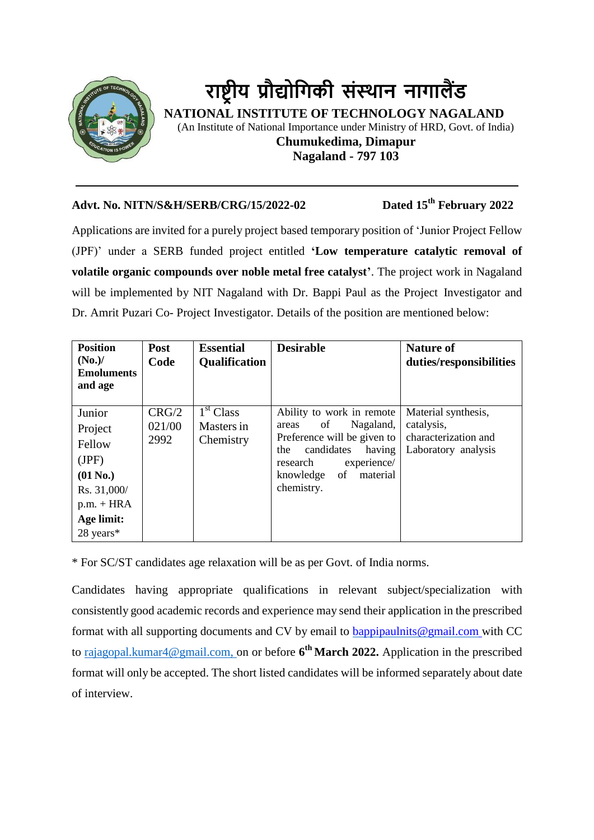

# **राष्ट्र ीय प्रौद्योगिकी संस्थान नािालैंड**

 **NATIONAL INSTITUTE OF TECHNOLOGY NAGALAND** (An Institute of National Importance under Ministry of HRD, Govt. of India) **Chumukedima, Dimapur Nagaland - 797 103**

## **Advt. No. NITN/S&H/SERB/CRG/15/2022-02 Dated 15th February 2022**

Applications are invited for a purely project based temporary position of 'Junior Project Fellow (JPF)' under a SERB funded project entitled **'Low temperature catalytic removal of volatile organic compounds over noble metal free catalyst'**. The project work in Nagaland will be implemented by NIT Nagaland with Dr. Bappi Paul as the Project Investigator and Dr. Amrit Puzari Co- Project Investigator. Details of the position are mentioned below:

| <b>Position</b><br>(No.)/<br><b>Emoluments</b><br>and age                                                    | <b>Post</b><br>Code     | <b>Essential</b><br><b>Qualification</b>         | <b>Desirable</b>                                                                                                                                                                            | <b>Nature of</b><br>duties/responsibilities                                      |
|--------------------------------------------------------------------------------------------------------------|-------------------------|--------------------------------------------------|---------------------------------------------------------------------------------------------------------------------------------------------------------------------------------------------|----------------------------------------------------------------------------------|
| Junior<br>Project<br>Fellow<br>(JPF)<br>$(01$ No.)<br>Rs. 31,000/<br>$p.m. + HRA$<br>Age limit:<br>28 years* | CRG/2<br>021/00<br>2992 | 1 <sup>st</sup> Class<br>Masters in<br>Chemistry | Ability to work in remote<br>Nagaland,<br>of<br>areas<br>Preference will be given to<br>candidates<br>having<br>the<br>experience/<br>research<br>of<br>material<br>knowledge<br>chemistry. | Material synthesis,<br>catalysis,<br>characterization and<br>Laboratory analysis |

\* For SC/ST candidates age relaxation will be as per Govt. of India norms.

Candidates having appropriate qualifications in relevant subject/specialization with consistently good academic records and experience may send their application in the prescribed format with all supporting documents and CV by email to [bappipaulnits@gmail.com](mailto:bappipaulnits@gmail.com) with CC to [rajagopal.kumar4@gmail.com,](mailto:rajagopal.kumar4@gmail.com) on or before **6 th March 2022.** Application in the prescribed format will only be accepted. The short listed candidates will be informed separately about date of interview.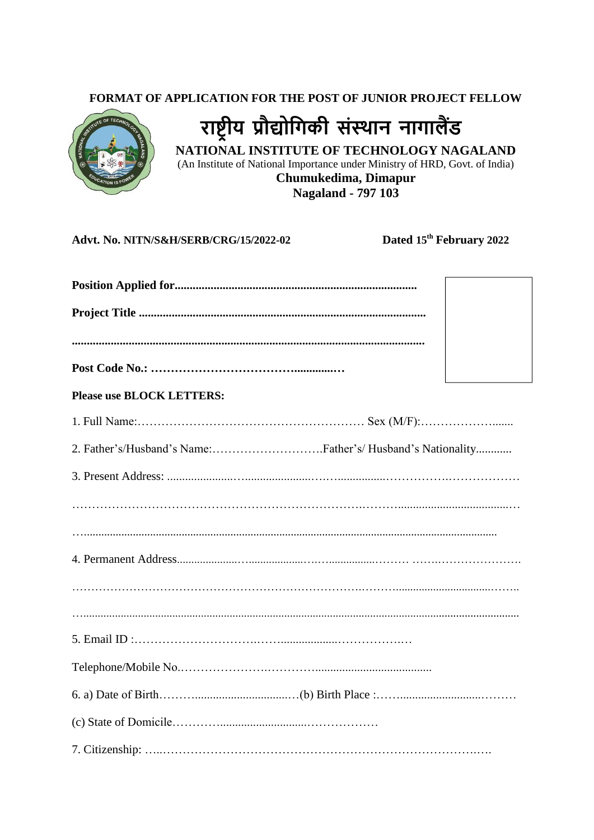#### FORMAT OF APPLICATION FOR THE POST OF JUNIOR PROJECT FELLOW



राष्ट्रीय प्रौद्योगिकी संस्थान नागालैंड NATIONAL INSTITUTE OF TECHNOLOGY NAGALAND (An Institute of National Importance under Ministry of HRD, Govt. of India) Chumukedima, Dimapur

**Nagaland - 797 103** 

#### Advt. No. NITN/S&H/SERB/CRG/15/2022-02

Dated 15<sup>th</sup> February 2022

| <b>Please use BLOCK LETTERS:</b> |  |
|----------------------------------|--|
|                                  |  |
|                                  |  |
|                                  |  |
|                                  |  |
|                                  |  |
|                                  |  |
|                                  |  |
|                                  |  |
|                                  |  |
|                                  |  |
|                                  |  |
|                                  |  |
|                                  |  |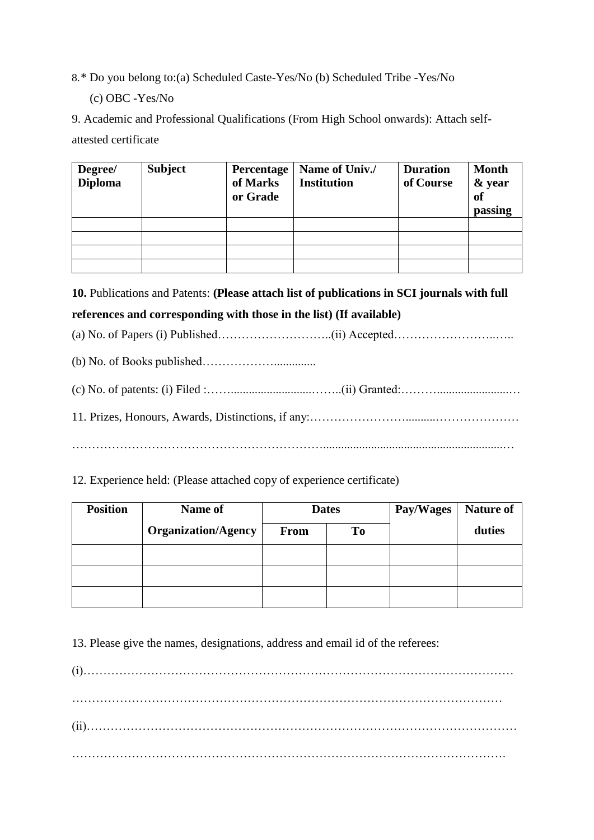- 8.\* Do you belong to:(a) Scheduled Caste-Yes/No (b) Scheduled Tribe -Yes/No (c) OBC -Yes/No
- 9. Academic and Professional Qualifications (From High School onwards): Attach selfattested certificate

| Degree/<br><b>Diploma</b> | Subject | <b>Percentage</b><br>of Marks<br>or Grade | Name of Univ./<br><b>Institution</b> | <b>Duration</b><br>of Course | <b>Month</b><br>& year<br><sub>of</sub><br>passing |
|---------------------------|---------|-------------------------------------------|--------------------------------------|------------------------------|----------------------------------------------------|
|                           |         |                                           |                                      |                              |                                                    |
|                           |         |                                           |                                      |                              |                                                    |
|                           |         |                                           |                                      |                              |                                                    |
|                           |         |                                           |                                      |                              |                                                    |

**10.** Publications and Patents: **(Please attach list of publications in SCI journals with full references and corresponding with those in the list) (If available)**

- (a) No. of Papers (i) Published………………………..(ii) Accepted……………………..…..
- (b) No. of Books published………………..............
- (c) No. of patents: (i) Filed :……...........................……..(ii) Granted:………........................… 11. Prizes, Honours, Awards, Distinctions, if any:……………………..........…………………

………………………………………………………............................................................…

### 12. Experience held: (Please attached copy of experience certificate)

| <b>Position</b> | Name of                    | <b>Dates</b> |    | Pay/Wages | <b>Nature of</b> |
|-----------------|----------------------------|--------------|----|-----------|------------------|
|                 | <b>Organization/Agency</b> | <b>From</b>  | To |           | duties           |
|                 |                            |              |    |           |                  |
|                 |                            |              |    |           |                  |
|                 |                            |              |    |           |                  |

13. Please give the names, designations, address and email id of the referees:

(i)……………………………………………………………………………………………… ……………………………………………………………………………………………… (ii)……………………………………………………………………………………………… ……………………………………………………………………………………………….